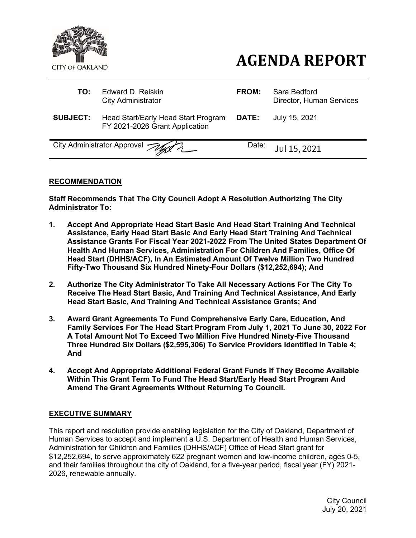

# **AGENDA REPORT**

| TO:             | Edward D. Reiskin<br><b>City Administrator</b>                        | FROM:        | Sara Bedford<br>Director, Human Services |
|-----------------|-----------------------------------------------------------------------|--------------|------------------------------------------|
| <b>SUBJECT:</b> | Head Start/Early Head Start Program<br>FY 2021-2026 Grant Application | <b>DATE:</b> | July 15, 2021                            |
|                 | City Administrator Approval July 2                                    | Date:        | Jul 15, 2021                             |

## **RECOMMENDATION**

**Staff Recommends That The City Council Adopt A Resolution Authorizing The City Administrator To:**

- **1. Accept And Appropriate Head Start Basic And Head Start Training And Technical Assistance, Early Head Start Basic And Early Head Start Training And Technical Assistance Grants For Fiscal Year 2021-2022 From The United States Department Of Health And Human Services, Administration For Children And Families, Office Of Head Start (DHHS/ACF), In An Estimated Amount Of Twelve Million Two Hundred Fifty-Two Thousand Six Hundred Ninety-Four Dollars (\$12,252,694); And**
- **2. Authorize The City Administrator To Take All Necessary Actions For The City To Receive The Head Start Basic, And Training And Technical Assistance, And Early Head Start Basic, And Training And Technical Assistance Grants; And**
- **3. Award Grant Agreements To Fund Comprehensive Early Care, Education, And Family Services For The Head Start Program From July 1, 2021 To June 30, 2022 For A Total Amount Not To Exceed Two Million Five Hundred Ninety-Five Thousand Three Hundred Six Dollars (\$2,595,306) To Service Providers Identified In Table 4; And**
- **4. Accept And Appropriate Additional Federal Grant Funds If They Become Available Within This Grant Term To Fund The Head Start/Early Head Start Program And Amend The Grant Agreements Without Returning To Council.**

## **EXECUTIVE SUMMARY**

This report and resolution provide enabling legislation for the City of Oakland, Department of Human Services to accept and implement a U.S. Department of Health and Human Services, Administration for Children and Families (DHHS/ACF) Office of Head Start grant for \$12,252,694, to serve approximately 622 pregnant women and low-income children, ages 0-5, and their families throughout the city of Oakland, for a five-year period, fiscal year (FY) 2021- 2026, renewable annually.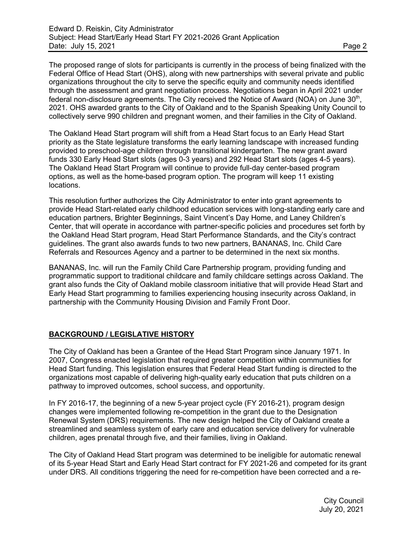The proposed range of slots for participants is currently in the process of being finalized with the Federal Office of Head Start (OHS), along with new partnerships with several private and public organizations throughout the city to serve the specific equity and community needs identified through the assessment and grant negotiation process. Negotiations began in April 2021 under federal non-disclosure agreements. The City received the Notice of Award (NOA) on June  $30<sup>th</sup>$ , 2021. OHS awarded grants to the City of Oakland and to the Spanish Speaking Unity Council to collectively serve 990 children and pregnant women, and their families in the City of Oakland.

The Oakland Head Start program will shift from a Head Start focus to an Early Head Start priority as the State legislature transforms the early learning landscape with increased funding provided to preschool-age children through transitional kindergarten. The new grant award funds 330 Early Head Start slots (ages 0-3 years) and 292 Head Start slots (ages 4-5 years). The Oakland Head Start Program will continue to provide full-day center-based program options, as well as the home-based program option. The program will keep 11 existing locations.

This resolution further authorizes the City Administrator to enter into grant agreements to provide Head Start-related early childhood education services with long-standing early care and education partners, Brighter Beginnings, Saint Vincent's Day Home, and Laney Children's Center, that will operate in accordance with partner-specific policies and procedures set forth by the Oakland Head Start program, Head Start Performance Standards, and the City's contract guidelines. The grant also awards funds to two new partners, BANANAS, Inc. Child Care Referrals and Resources Agency and a partner to be determined in the next six months.

BANANAS, Inc. will run the Family Child Care Partnership program, providing funding and programmatic support to traditional childcare and family childcare settings across Oakland. The grant also funds the City of Oakland mobile classroom initiative that will provide Head Start and Early Head Start programming to families experiencing housing insecurity across Oakland, in partnership with the Community Housing Division and Family Front Door.

## **BACKGROUND / LEGISLATIVE HISTORY**

The City of Oakland has been a Grantee of the Head Start Program since January 1971. In 2007, Congress enacted legislation that required greater competition within communities for Head Start funding. This legislation ensures that Federal Head Start funding is directed to the organizations most capable of delivering high-quality early education that puts children on a pathway to improved outcomes, school success, and opportunity.

In FY 2016-17, the beginning of a new 5-year project cycle (FY 2016-21), program design changes were implemented following re-competition in the grant due to the Designation Renewal System (DRS) requirements. The new design helped the City of Oakland create a streamlined and seamless system of early care and education service delivery for vulnerable children, ages prenatal through five, and their families, living in Oakland.

The City of Oakland Head Start program was determined to be ineligible for automatic renewal of its 5-year Head Start and Early Head Start contract for FY 2021-26 and competed for its grant under DRS. All conditions triggering the need for re-competition have been corrected and a re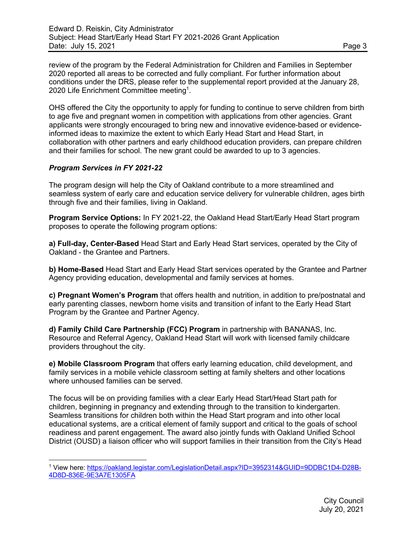review of the program by the Federal Administration for Children and Families in September 2020 reported all areas to be corrected and fully compliant. For further information about conditions under the DRS, please refer to the supplemental report provided at the January 28, 2020 Life Enrichment Committee meeting<sup>1</sup>.

OHS offered the City the opportunity to apply for funding to continue to serve children from birth to age five and pregnant women in competition with applications from other agencies. Grant applicants were strongly encouraged to bring new and innovative evidence-based or evidenceinformed ideas to maximize the extent to which Early Head Start and Head Start, in collaboration with other partners and early childhood education providers, can prepare children and their families for school. The new grant could be awarded to up to 3 agencies.

# *Program Services in FY 2021-22*

The program design will help the City of Oakland contribute to a more streamlined and seamless system of early care and education service delivery for vulnerable children, ages birth through five and their families, living in Oakland.

**Program Service Options:** In FY 2021-22, the Oakland Head Start/Early Head Start program proposes to operate the following program options:

**a) Full-day, Center-Based** Head Start and Early Head Start services, operated by the City of Oakland - the Grantee and Partners.

**b) Home-Based** Head Start and Early Head Start services operated by the Grantee and Partner Agency providing education, developmental and family services at homes.

**c) Pregnant Women's Program** that offers health and nutrition, in addition to pre/postnatal and early parenting classes, newborn home visits and transition of infant to the Early Head Start Program by the Grantee and Partner Agency.

**d) Family Child Care Partnership (FCC) Program** in partnership with BANANAS, Inc. Resource and Referral Agency, Oakland Head Start will work with licensed family childcare providers throughout the city.

**e) Mobile Classroom Program** that offers early learning education, child development, and family services in a mobile vehicle classroom setting at family shelters and other locations where unhoused families can be served.

The focus will be on providing families with a clear Early Head Start/Head Start path for children, beginning in pregnancy and extending through to the transition to kindergarten. Seamless transitions for children both within the Head Start program and into other local educational systems, are a critical element of family support and critical to the goals of school readiness and parent engagement. The award also jointly funds with Oakland Unified School District (OUSD) a liaison officer who will support families in their transition from the City's Head

<sup>1</sup> View here: https://oakland.legistar.com/LegislationDetail.aspx?ID=3952314&GUID=9DDBC1D4-D28B-4D8D-836E-9E3A7E1305FA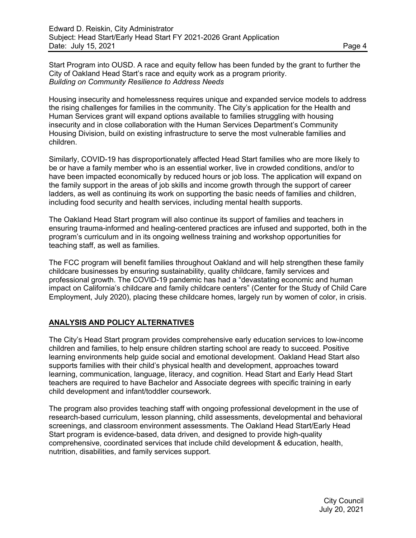Start Program into OUSD. A race and equity fellow has been funded by the grant to further the City of Oakland Head Start's race and equity work as a program priority. *Building on Community Resilience to Address Needs* 

Housing insecurity and homelessness requires unique and expanded service models to address the rising challenges for families in the community. The City's application for the Health and Human Services grant will expand options available to families struggling with housing insecurity and in close collaboration with the Human Services Department's Community Housing Division, build on existing infrastructure to serve the most vulnerable families and children.

Similarly, COVID-19 has disproportionately affected Head Start families who are more likely to be or have a family member who is an essential worker, live in crowded conditions, and/or to have been impacted economically by reduced hours or job loss. The application will expand on the family support in the areas of job skills and income growth through the support of career ladders, as well as continuing its work on supporting the basic needs of families and children, including food security and health services, including mental health supports.

The Oakland Head Start program will also continue its support of families and teachers in ensuring trauma-informed and healing-centered practices are infused and supported, both in the program's curriculum and in its ongoing wellness training and workshop opportunities for teaching staff, as well as families.

The FCC program will benefit families throughout Oakland and will help strengthen these family childcare businesses by ensuring sustainability, quality childcare, family services and professional growth. The COVID-19 pandemic has had a "devastating economic and human impact on California's childcare and family childcare centers" (Center for the Study of Child Care Employment, July 2020), placing these childcare homes, largely run by women of color, in crisis.

# **ANALYSIS AND POLICY ALTERNATIVES**

The City's Head Start program provides comprehensive early education services to low-income children and families, to help ensure children starting school are ready to succeed. Positive learning environments help guide social and emotional development. Oakland Head Start also supports families with their child's physical health and development, approaches toward learning, communication, language, literacy, and cognition. Head Start and Early Head Start teachers are required to have Bachelor and Associate degrees with specific training in early child development and infant/toddler coursework.

The program also provides teaching staff with ongoing professional development in the use of research-based curriculum, lesson planning, child assessments, developmental and behavioral screenings, and classroom environment assessments. The Oakland Head Start/Early Head Start program is evidence-based, data driven, and designed to provide high-quality comprehensive, coordinated services that include child development & education, health, nutrition, disabilities, and family services support.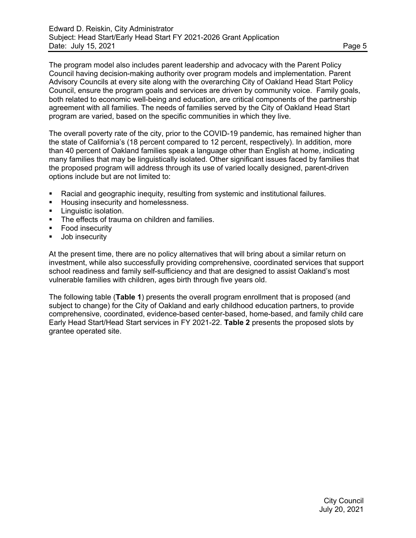The program model also includes parent leadership and advocacy with the Parent Policy Council having decision-making authority over program models and implementation. Parent Advisory Councils at every site along with the overarching City of Oakland Head Start Policy Council, ensure the program goals and services are driven by community voice. Family goals, both related to economic well-being and education, are critical components of the partnership agreement with all families. The needs of families served by the City of Oakland Head Start program are varied, based on the specific communities in which they live.

The overall poverty rate of the city, prior to the COVID-19 pandemic, has remained higher than the state of California's (18 percent compared to 12 percent, respectively). In addition, more than 40 percent of Oakland families speak a language other than English at home, indicating many families that may be linguistically isolated. Other significant issues faced by families that the proposed program will address through its use of varied locally designed, parent-driven options include but are not limited to:

- § Racial and geographic inequity, resulting from systemic and institutional failures.
- **Housing insecurity and homelessness.**
- **E** Linguistic isolation.
- The effects of trauma on children and families.
- Food insecurity
- Job insecurity

At the present time, there are no policy alternatives that will bring about a similar return on investment, while also successfully providing comprehensive, coordinated services that support school readiness and family self-sufficiency and that are designed to assist Oakland's most vulnerable families with children, ages birth through five years old.

The following table (**Table 1**) presents the overall program enrollment that is proposed (and subject to change) for the City of Oakland and early childhood education partners, to provide comprehensive, coordinated, evidence-based center-based, home-based, and family child care Early Head Start/Head Start services in FY 2021-22. **Table 2** presents the proposed slots by grantee operated site.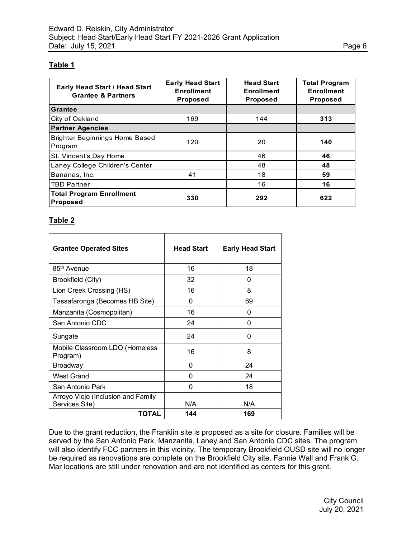## **Table 1**

| <b>Early Head Start / Head Start</b><br><b>Grantee &amp; Partners</b> | <b>Early Head Start</b><br><b>Enrollment</b><br><b>Proposed</b> | <b>Head Start</b><br><b>Enrollment</b><br><b>Proposed</b> | <b>Total Program</b><br><b>Enrollment</b><br><b>Proposed</b> |
|-----------------------------------------------------------------------|-----------------------------------------------------------------|-----------------------------------------------------------|--------------------------------------------------------------|
| <b>Grantee</b>                                                        |                                                                 |                                                           |                                                              |
| City of Oakland                                                       | 169                                                             | 144                                                       | 313                                                          |
| <b>Partner Agencies</b>                                               |                                                                 |                                                           |                                                              |
| <b>Brighter Beginnings Home Based</b><br>Program                      | 120                                                             | 20                                                        | 140                                                          |
| St. Vincent's Day Home                                                |                                                                 | 46                                                        | 46                                                           |
| Laney College Children's Center                                       |                                                                 | 48                                                        | 48                                                           |
| Bananas, Inc.                                                         | 41                                                              | 18                                                        | 59                                                           |
| <b>TBD Partner</b>                                                    |                                                                 | 16                                                        | 16                                                           |
| <b>Total Program Enrollment</b><br><b>Proposed</b>                    | 330                                                             | 292                                                       | 622                                                          |

## **Table 2**

| <b>Grantee Operated Sites</b>                        | <b>Head Start</b> | <b>Early Head Start</b> |
|------------------------------------------------------|-------------------|-------------------------|
| 85 <sup>th</sup> Avenue                              | 16                | 18                      |
| Brookfield (City)                                    | 32                | 0                       |
| Lion Creek Crossing (HS)                             | 16                | 8                       |
| Tassafaronga (Becomes HB Site)                       | <sup>0</sup>      | 69                      |
| Manzanita (Cosmopolitan)                             | 16                | 0                       |
| San Antonio CDC                                      | 24                | 0                       |
| Sungate                                              | 24                | 0                       |
| Mobile Classroom LDO (Homeless<br>Program)           | 16                | 8                       |
| <b>Broadway</b>                                      | 0                 | 24                      |
| <b>West Grand</b>                                    | 0                 | 24                      |
| San Antonio Park                                     | 0                 | 18                      |
| Arroyo Viejo (Inclusion and Family<br>Services Site) | N/A               | N/A                     |
| TOTAL                                                | 144               | 169                     |

Due to the grant reduction, the Franklin site is proposed as a site for closure. Families will be served by the San Antonio Park, Manzanita, Laney and San Antonio CDC sites. The program will also identify FCC partners in this vicinity. The temporary Brookfield OUSD site will no longer be required as renovations are complete on the Brookfield City site. Fannie Wall and Frank G. Mar locations are still under renovation and are not identified as centers for this grant.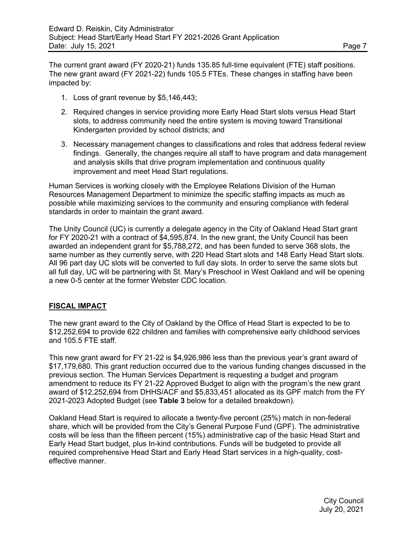The current grant award (FY 2020-21) funds 135.85 full-time equivalent (FTE) staff positions. The new grant award (FY 2021-22) funds 105.5 FTEs. These changes in staffing have been impacted by:

- 1. Loss of grant revenue by \$5,146,443;
- 2. Required changes in service providing more Early Head Start slots versus Head Start slots, to address community need the entire system is moving toward Transitional Kindergarten provided by school districts; and
- 3. Necessary management changes to classifications and roles that address federal review findings. Generally, the changes require all staff to have program and data management and analysis skills that drive program implementation and continuous quality improvement and meet Head Start regulations.

Human Services is working closely with the Employee Relations Division of the Human Resources Management Department to minimize the specific staffing impacts as much as possible while maximizing services to the community and ensuring compliance with federal standards in order to maintain the grant award.

The Unity Council (UC) is currently a delegate agency in the City of Oakland Head Start grant for FY 2020-21 with a contract of \$4,595,874. In the new grant, the Unity Council has been awarded an independent grant for \$5,788,272, and has been funded to serve 368 slots, the same number as they currently serve, with 220 Head Start slots and 148 Early Head Start slots. All 96 part day UC slots will be converted to full day slots. In order to serve the same slots but all full day, UC will be partnering with St. Mary's Preschool in West Oakland and will be opening a new 0-5 center at the former Webster CDC location.

## **FISCAL IMPACT**

The new grant award to the City of Oakland by the Office of Head Start is expected to be to \$12,252,694 to provide 622 children and families with comprehensive early childhood services and 105.5 FTE staff.

This new grant award for FY 21-22 is \$4,926,986 less than the previous year's grant award of \$17,179,680. This grant reduction occurred due to the various funding changes discussed in the previous section. The Human Services Department is requesting a budget and program amendment to reduce its FY 21-22 Approved Budget to align with the program's the new grant award of \$12,252,694 from DHHS/ACF and \$5,833,451 allocated as its GPF match from the FY 2021-2023 Adopted Budget (see **Table 3** below for a detailed breakdown).

Oakland Head Start is required to allocate a twenty-five percent (25%) match in non-federal share, which will be provided from the City's General Purpose Fund (GPF). The administrative costs will be less than the fifteen percent (15%) administrative cap of the basic Head Start and Early Head Start budget, plus In-kind contributions. Funds will be budgeted to provide all required comprehensive Head Start and Early Head Start services in a high-quality, costeffective manner.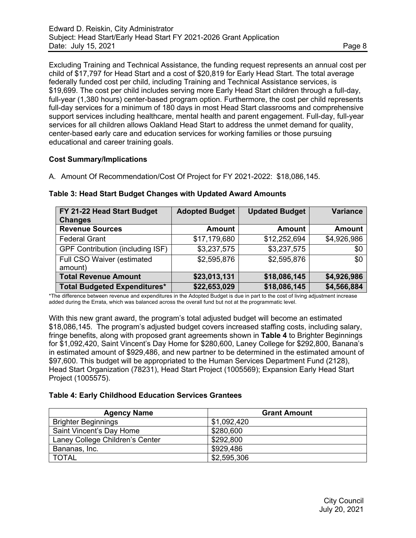Excluding Training and Technical Assistance, the funding request represents an annual cost per child of \$17,797 for Head Start and a cost of \$20,819 for Early Head Start. The total average federally funded cost per child, including Training and Technical Assistance services, is \$19,699. The cost per child includes serving more Early Head Start children through a full-day, full-year (1,380 hours) center-based program option. Furthermore, the cost per child represents full-day services for a minimum of 180 days in most Head Start classrooms and comprehensive support services including healthcare, mental health and parent engagement. Full-day, full-year services for all children allows Oakland Head Start to address the unmet demand for quality, center-based early care and education services for working families or those pursuing educational and career training goals.

# **Cost Summary/Implications**

A. Amount Of Recommendation/Cost Of Project for FY 2021-2022: \$18,086,145.

| FY 21-22 Head Start Budget          | <b>Adopted Budget</b> | <b>Updated Budget</b> | <b>Variance</b> |
|-------------------------------------|-----------------------|-----------------------|-----------------|
| <b>Changes</b>                      |                       |                       |                 |
| <b>Revenue Sources</b>              | <b>Amount</b>         | Amount                | <b>Amount</b>   |
| <b>Federal Grant</b>                | \$17,179,680          | \$12,252,694          | \$4,926,986     |
| GPF Contribution (including ISF)    | \$3,237,575           | \$3,237,575           | \$0             |
| Full CSO Waiver (estimated          | \$2,595,876           | \$2,595,876           | \$0             |
| amount)                             |                       |                       |                 |
| <b>Total Revenue Amount</b>         | \$23,013,131          | \$18,086,145          | \$4,926,986     |
| <b>Total Budgeted Expenditures*</b> | \$22,653,029          | \$18,086,145          | \$4,566,884     |

#### **Table 3: Head Start Budget Changes with Updated Award Amounts**

\*The difference between revenue and expenditures in the Adopted Budget is due in part to the cost of living adjustment increase added during the Errata, which was balanced across the overall fund but not at the programmatic level.

With this new grant award, the program's total adjusted budget will become an estimated \$18,086,145. The program's adjusted budget covers increased staffing costs, including salary, fringe benefits, along with proposed grant agreements shown in **Table 4** to Brighter Beginnings for \$1,092,420, Saint Vincent's Day Home for \$280,600, Laney College for \$292,800, Banana's in estimated amount of \$929,486, and new partner to be determined in the estimated amount of \$97,600. This budget will be appropriated to the Human Services Department Fund (2128), Head Start Organization (78231), Head Start Project (1005569); Expansion Early Head Start Project (1005575).

## **Table 4: Early Childhood Education Services Grantees**

| <b>Agency Name</b>              | <b>Grant Amount</b> |
|---------------------------------|---------------------|
| <b>Brighter Beginnings</b>      | \$1,092,420         |
| Saint Vincent's Day Home        | \$280,600           |
| Laney College Children's Center | \$292,800           |
| Bananas, Inc.                   | \$929.486           |
| <b>TOTAL</b>                    | \$2,595,306         |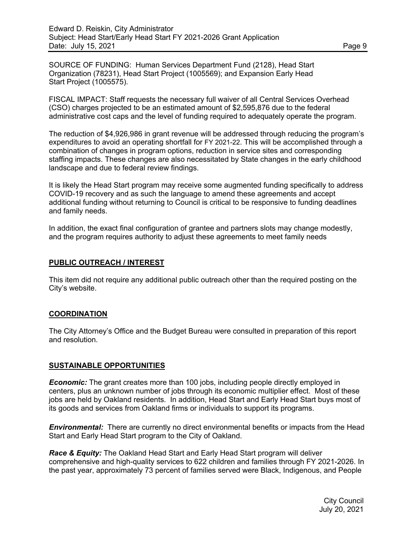SOURCE OF FUNDING: Human Services Department Fund (2128), Head Start Organization (78231), Head Start Project (1005569); and Expansion Early Head Start Project (1005575).

FISCAL IMPACT: Staff requests the necessary full waiver of all Central Services Overhead (CSO) charges projected to be an estimated amount of \$2,595,876 due to the federal administrative cost caps and the level of funding required to adequately operate the program.

The reduction of \$4,926,986 in grant revenue will be addressed through reducing the program's expenditures to avoid an operating shortfall for FY 2021-22. This will be accomplished through a combination of changes in program options, reduction in service sites and corresponding staffing impacts. These changes are also necessitated by State changes in the early childhood landscape and due to federal review findings.

It is likely the Head Start program may receive some augmented funding specifically to address COVID-19 recovery and as such the language to amend these agreements and accept additional funding without returning to Council is critical to be responsive to funding deadlines and family needs.

In addition, the exact final configuration of grantee and partners slots may change modestly, and the program requires authority to adjust these agreements to meet family needs

#### **PUBLIC OUTREACH / INTEREST**

This item did not require any additional public outreach other than the required posting on the City's website.

## **COORDINATION**

The City Attorney's Office and the Budget Bureau were consulted in preparation of this report and resolution.

#### **SUSTAINABLE OPPORTUNITIES**

*Economic:* The grant creates more than 100 jobs, including people directly employed in centers, plus an unknown number of jobs through its economic multiplier effect. Most of these jobs are held by Oakland residents. In addition, Head Start and Early Head Start buys most of its goods and services from Oakland firms or individuals to support its programs.

**Environmental:** There are currently no direct environmental benefits or impacts from the Head Start and Early Head Start program to the City of Oakland.

*Race & Equity:* The Oakland Head Start and Early Head Start program will deliver comprehensive and high-quality services to 622 children and families through FY 2021-2026. In the past year, approximately 73 percent of families served were Black, Indigenous, and People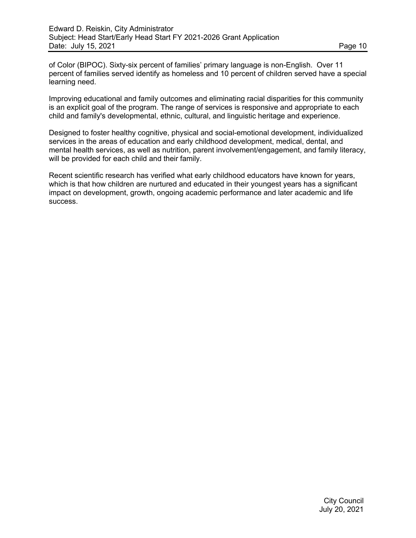of Color (BIPOC). Sixty-six percent of families' primary language is non-English. Over 11 percent of families served identify as homeless and 10 percent of children served have a special learning need.

Improving educational and family outcomes and eliminating racial disparities for this community is an explicit goal of the program. The range of services is responsive and appropriate to each child and family's developmental, ethnic, cultural, and linguistic heritage and experience.

Designed to foster healthy cognitive, physical and social-emotional development, individualized services in the areas of education and early childhood development, medical, dental, and mental health services, as well as nutrition, parent involvement/engagement, and family literacy, will be provided for each child and their family.

Recent scientific research has verified what early childhood educators have known for years, which is that how children are nurtured and educated in their youngest years has a significant impact on development, growth, ongoing academic performance and later academic and life success.